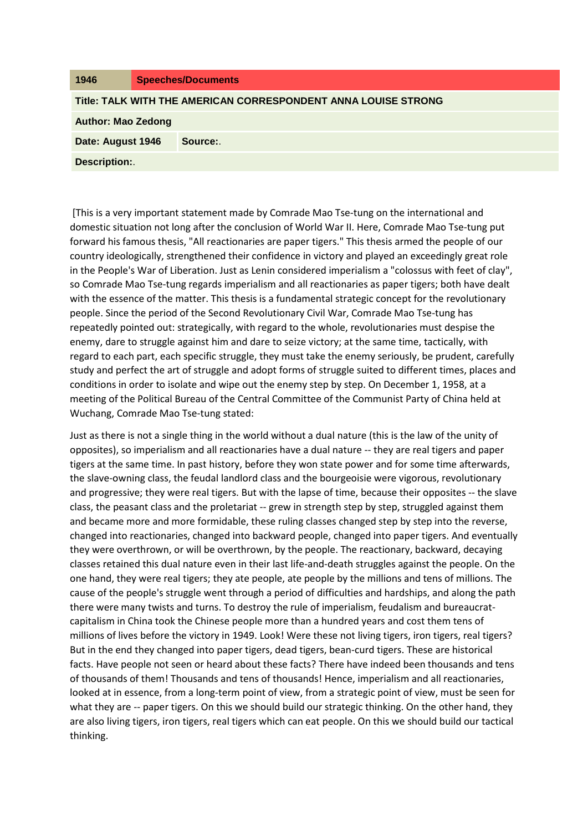| 1946                                                           | <b>Speeches/Documents</b> |         |
|----------------------------------------------------------------|---------------------------|---------|
| Title: TALK WITH THE AMERICAN CORRESPONDENT ANNA LOUISE STRONG |                           |         |
| <b>Author: Mao Zedong</b>                                      |                           |         |
| Date: August 1946                                              |                           | Source: |
| <b>Description:.</b>                                           |                           |         |

[This is a very important statement made by Comrade Mao Tse-tung on the international and domestic situation not long after the conclusion of World War II. Here, Comrade Mao Tse-tung put forward his famous thesis, "All reactionaries are paper tigers." This thesis armed the people of our country ideologically, strengthened their confidence in victory and played an exceedingly great role in the People's War of Liberation. Just as Lenin considered imperialism a "colossus with feet of clay", so Comrade Mao Tse-tung regards imperialism and all reactionaries as paper tigers; both have dealt with the essence of the matter. This thesis is a fundamental strategic concept for the revolutionary people. Since the period of the Second Revolutionary Civil War, Comrade Mao Tse-tung has repeatedly pointed out: strategically, with regard to the whole, revolutionaries must despise the enemy, dare to struggle against him and dare to seize victory; at the same time, tactically, with regard to each part, each specific struggle, they must take the enemy seriously, be prudent, carefully study and perfect the art of struggle and adopt forms of struggle suited to different times, places and conditions in order to isolate and wipe out the enemy step by step. On December 1, 1958, at a meeting of the Political Bureau of the Central Committee of the Communist Party of China held at Wuchang, Comrade Mao Tse-tung stated:

Just as there is not a single thing in the world without a dual nature (this is the law of the unity of opposites), so imperialism and all reactionaries have a dual nature -- they are real tigers and paper tigers at the same time. In past history, before they won state power and for some time afterwards, the slave-owning class, the feudal landlord class and the bourgeoisie were vigorous, revolutionary and progressive; they were real tigers. But with the lapse of time, because their opposites -- the slave class, the peasant class and the proletariat -- grew in strength step by step, struggled against them and became more and more formidable, these ruling classes changed step by step into the reverse, changed into reactionaries, changed into backward people, changed into paper tigers. And eventually they were overthrown, or will be overthrown, by the people. The reactionary, backward, decaying classes retained this dual nature even in their last life-and-death struggles against the people. On the one hand, they were real tigers; they ate people, ate people by the millions and tens of millions. The cause of the people's struggle went through a period of difficulties and hardships, and along the path there were many twists and turns. To destroy the rule of imperialism, feudalism and bureaucratcapitalism in China took the Chinese people more than a hundred years and cost them tens of millions of lives before the victory in 1949. Look! Were these not living tigers, iron tigers, real tigers? But in the end they changed into paper tigers, dead tigers, bean-curd tigers. These are historical facts. Have people not seen or heard about these facts? There have indeed been thousands and tens of thousands of them! Thousands and tens of thousands! Hence, imperialism and all reactionaries, looked at in essence, from a long-term point of view, from a strategic point of view, must be seen for what they are -- paper tigers. On this we should build our strategic thinking. On the other hand, they are also living tigers, iron tigers, real tigers which can eat people. On this we should build our tactical thinking.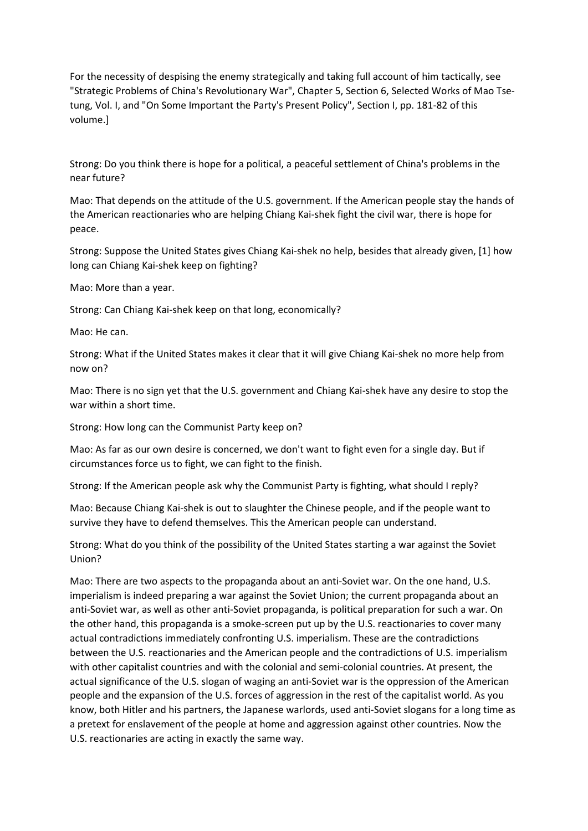For the necessity of despising the enemy strategically and taking full account of him tactically, see "Strategic Problems of China's Revolutionary War", Chapter 5, Section 6, Selected Works of Mao Tsetung, Vol. I, and "On Some Important the Party's Present Policy", Section I, pp. 181-82 of this volume.]

Strong: Do you think there is hope for a political, a peaceful settlement of China's problems in the near future?

Mao: That depends on the attitude of the U.S. government. If the American people stay the hands of the American reactionaries who are helping Chiang Kai-shek fight the civil war, there is hope for peace.

Strong: Suppose the United States gives Chiang Kai-shek no help, besides that already given, [1] how long can Chiang Kai-shek keep on fighting?

Mao: More than a year.

Strong: Can Chiang Kai-shek keep on that long, economically?

Mao: He can.

Strong: What if the United States makes it clear that it will give Chiang Kai-shek no more help from now on?

Mao: There is no sign yet that the U.S. government and Chiang Kai-shek have any desire to stop the war within a short time.

Strong: How long can the Communist Party keep on?

Mao: As far as our own desire is concerned, we don't want to fight even for a single day. But if circumstances force us to fight, we can fight to the finish.

Strong: If the American people ask why the Communist Party is fighting, what should I reply?

Mao: Because Chiang Kai-shek is out to slaughter the Chinese people, and if the people want to survive they have to defend themselves. This the American people can understand.

Strong: What do you think of the possibility of the United States starting a war against the Soviet Union?

Mao: There are two aspects to the propaganda about an anti-Soviet war. On the one hand, U.S. imperialism is indeed preparing a war against the Soviet Union; the current propaganda about an anti-Soviet war, as well as other anti-Soviet propaganda, is political preparation for such a war. On the other hand, this propaganda is a smoke-screen put up by the U.S. reactionaries to cover many actual contradictions immediately confronting U.S. imperialism. These are the contradictions between the U.S. reactionaries and the American people and the contradictions of U.S. imperialism with other capitalist countries and with the colonial and semi-colonial countries. At present, the actual significance of the U.S. slogan of waging an anti-Soviet war is the oppression of the American people and the expansion of the U.S. forces of aggression in the rest of the capitalist world. As you know, both Hitler and his partners, the Japanese warlords, used anti-Soviet slogans for a long time as a pretext for enslavement of the people at home and aggression against other countries. Now the U.S. reactionaries are acting in exactly the same way.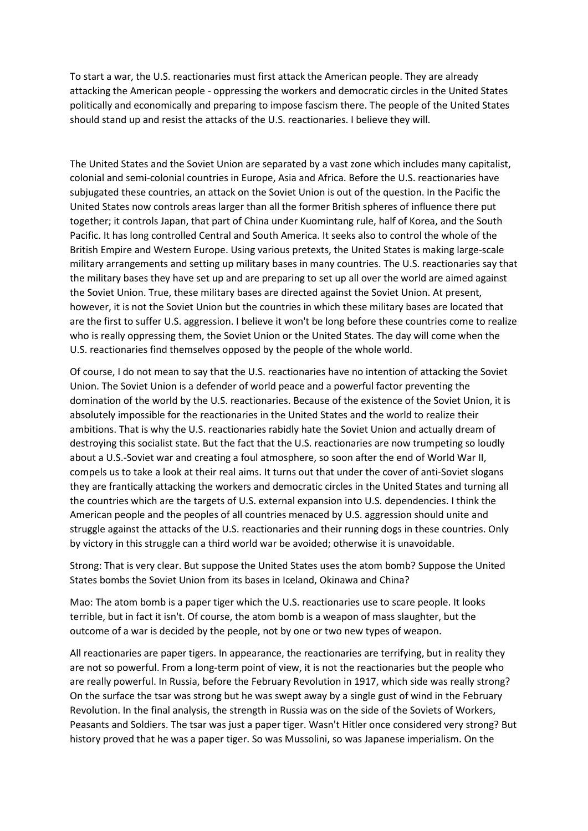To start a war, the U.S. reactionaries must first attack the American people. They are already attacking the American people - oppressing the workers and democratic circles in the United States politically and economically and preparing to impose fascism there. The people of the United States should stand up and resist the attacks of the U.S. reactionaries. I believe they will.

The United States and the Soviet Union are separated by a vast zone which includes many capitalist, colonial and semi-colonial countries in Europe, Asia and Africa. Before the U.S. reactionaries have subjugated these countries, an attack on the Soviet Union is out of the question. In the Pacific the United States now controls areas larger than all the former British spheres of influence there put together; it controls Japan, that part of China under Kuomintang rule, half of Korea, and the South Pacific. It has long controlled Central and South America. It seeks also to control the whole of the British Empire and Western Europe. Using various pretexts, the United States is making large-scale military arrangements and setting up military bases in many countries. The U.S. reactionaries say that the military bases they have set up and are preparing to set up all over the world are aimed against the Soviet Union. True, these military bases are directed against the Soviet Union. At present, however, it is not the Soviet Union but the countries in which these military bases are located that are the first to suffer U.S. aggression. I believe it won't be long before these countries come to realize who is really oppressing them, the Soviet Union or the United States. The day will come when the U.S. reactionaries find themselves opposed by the people of the whole world.

Of course, I do not mean to say that the U.S. reactionaries have no intention of attacking the Soviet Union. The Soviet Union is a defender of world peace and a powerful factor preventing the domination of the world by the U.S. reactionaries. Because of the existence of the Soviet Union, it is absolutely impossible for the reactionaries in the United States and the world to realize their ambitions. That is why the U.S. reactionaries rabidly hate the Soviet Union and actually dream of destroying this socialist state. But the fact that the U.S. reactionaries are now trumpeting so loudly about a U.S.-Soviet war and creating a foul atmosphere, so soon after the end of World War II, compels us to take a look at their real aims. It turns out that under the cover of anti-Soviet slogans they are frantically attacking the workers and democratic circles in the United States and turning all the countries which are the targets of U.S. external expansion into U.S. dependencies. I think the American people and the peoples of all countries menaced by U.S. aggression should unite and struggle against the attacks of the U.S. reactionaries and their running dogs in these countries. Only by victory in this struggle can a third world war be avoided; otherwise it is unavoidable.

Strong: That is very clear. But suppose the United States uses the atom bomb? Suppose the United States bombs the Soviet Union from its bases in Iceland, Okinawa and China?

Mao: The atom bomb is a paper tiger which the U.S. reactionaries use to scare people. It looks terrible, but in fact it isn't. Of course, the atom bomb is a weapon of mass slaughter, but the outcome of a war is decided by the people, not by one or two new types of weapon.

All reactionaries are paper tigers. In appearance, the reactionaries are terrifying, but in reality they are not so powerful. From a long-term point of view, it is not the reactionaries but the people who are really powerful. In Russia, before the February Revolution in 1917, which side was really strong? On the surface the tsar was strong but he was swept away by a single gust of wind in the February Revolution. In the final analysis, the strength in Russia was on the side of the Soviets of Workers, Peasants and Soldiers. The tsar was just a paper tiger. Wasn't Hitler once considered very strong? But history proved that he was a paper tiger. So was Mussolini, so was Japanese imperialism. On the